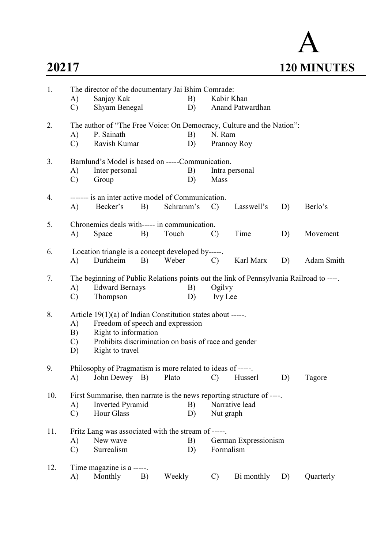

| 1.  | A)<br>$\mathcal{C}$                                                                                                                                                                  | The director of the documentary Jai Bhim Comrade:<br>Sanjay Kak<br>B)<br>Shyam Benegal<br>D)                                                                                                         |    |        |          | Kabir Khan<br>Anand Patwardhan |                      |    |            |  |
|-----|--------------------------------------------------------------------------------------------------------------------------------------------------------------------------------------|------------------------------------------------------------------------------------------------------------------------------------------------------------------------------------------------------|----|--------|----------|--------------------------------|----------------------|----|------------|--|
| 2.  | A)<br>$\mathcal{C}$                                                                                                                                                                  | The author of "The Free Voice: On Democracy, Culture and the Nation":<br>P. Sainath<br>Ravish Kumar                                                                                                  |    |        | B)<br>D) | N. Ram<br>Prannoy Roy          |                      |    |            |  |
| 3.  | A)<br>$\mathcal{C}$                                                                                                                                                                  | Barnlund's Model is based on -----Communication.<br>Inter personal<br>Group                                                                                                                          |    |        | B)<br>D) | Intra personal<br>Mass         |                      |    |            |  |
| 4.  | ------- is an inter active model of Communication.<br>A)<br>Becker's<br>B)<br>Schramm's<br>$\mathcal{C}$<br>Lasswell's<br>Berlo's<br>D)                                              |                                                                                                                                                                                                      |    |        |          |                                |                      |    |            |  |
| 5.  | A)                                                                                                                                                                                   | Chronemics deals with----- in communication.<br>Space                                                                                                                                                | B) | Touch  |          | $\mathcal{C}$                  | Time                 | D) | Movement   |  |
| 6.  | A)                                                                                                                                                                                   | Location triangle is a concept developed by-----.<br>Durkheim                                                                                                                                        | B) | Weber  |          | $\mathcal{C}$                  | Karl Marx            | D) | Adam Smith |  |
| 7.  | The beginning of Public Relations points out the link of Pennsylvania Railroad to ----.<br><b>Edward Bernays</b><br>A)<br>B)<br>Ogilvy<br>Thompson<br>D)<br>Ivy Lee<br>$\mathcal{C}$ |                                                                                                                                                                                                      |    |        |          |                                |                      |    |            |  |
| 8.  | A)<br>B)<br>C)<br>D)                                                                                                                                                                 | Article $19(1)(a)$ of Indian Constitution states about -----.<br>Freedom of speech and expression<br>Right to information<br>Prohibits discrimination on basis of race and gender<br>Right to travel |    |        |          |                                |                      |    |            |  |
| 9.  | A)                                                                                                                                                                                   | Philosophy of Pragmatism is more related to ideas of -----.<br>John Dewey B)                                                                                                                         |    | Plato  |          | $\mathcal{C}$                  | Husserl              | D) | Tagore     |  |
| 10. | A)<br>$\mathcal{C}$                                                                                                                                                                  | First Summarise, then narrate is the news reporting structure of ----.<br>Inverted Pyramid<br>Hour Glass                                                                                             |    |        | B)<br>D) | Nut graph                      | Narrative lead       |    |            |  |
| 11. | A)<br>$\mathcal{C}$                                                                                                                                                                  | Fritz Lang was associated with the stream of -----.<br>New wave<br>Surrealism                                                                                                                        |    |        | B)<br>D) | Formalism                      | German Expressionism |    |            |  |
| 12. | A)                                                                                                                                                                                   | Time magazine is a -----.<br>Monthly                                                                                                                                                                 | B) | Weekly |          | C)                             | Bi monthly           | D) | Quarterly  |  |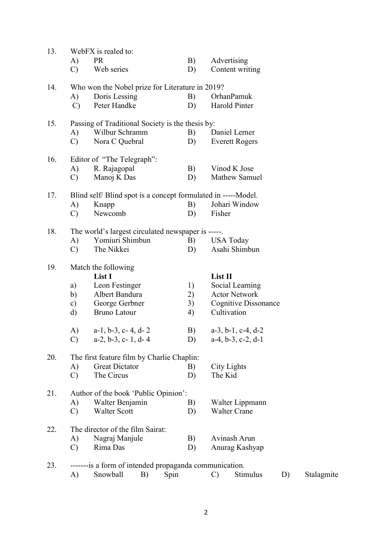| 13. |               | WebFX is realed to:                                          |    |      |    |               |                               |    |            |
|-----|---------------|--------------------------------------------------------------|----|------|----|---------------|-------------------------------|----|------------|
|     | A)            | <b>PR</b>                                                    |    |      | B) |               | Advertising                   |    |            |
|     | $\mathcal{C}$ | Web series                                                   |    |      | D) |               | Content writing               |    |            |
| 14. |               | Who won the Nobel prize for Literature in 2019?              |    |      |    |               |                               |    |            |
|     | A)            | Doris Lessing                                                |    |      | B) |               | OrhanPamuk                    |    |            |
|     | $\mathcal{C}$ | Peter Handke                                                 |    |      | D) |               | Harold Pinter                 |    |            |
| 15. |               | Passing of Traditional Society is the thesis by:             |    |      |    |               |                               |    |            |
|     | A)            | Wilbur Schramm                                               |    |      | B) |               | Daniel Lerner                 |    |            |
|     | $\mathcal{C}$ | Nora C Quebral                                               |    |      | D) |               | <b>Everett Rogers</b>         |    |            |
| 16. |               | Editor of "The Telegraph":                                   |    |      |    |               |                               |    |            |
|     | A)            | R. Rajagopal                                                 |    |      | B) |               | Vinod K Jose                  |    |            |
|     | $\mathcal{C}$ | Manoj K Das                                                  |    |      | D) |               | Mathew Samuel                 |    |            |
| 17. |               | Blind self/Blind spot is a concept formulated in -----Model. |    |      |    |               |                               |    |            |
|     | A)            | Knapp                                                        |    |      | B) |               | Johari Window                 |    |            |
|     | $\mathcal{C}$ | Newcomb                                                      |    |      | D) | Fisher        |                               |    |            |
| 18. |               | The world's largest circulated newspaper is -----.           |    |      |    |               |                               |    |            |
|     | A)            | Yomiuri Shimbun                                              |    |      | B) |               | <b>USA Today</b>              |    |            |
|     | $\mathcal{C}$ | The Nikkei                                                   |    |      | D) |               | Asahi Shimbun                 |    |            |
| 19. |               | Match the following                                          |    |      |    |               |                               |    |            |
|     |               | List I                                                       |    |      |    | List II       |                               |    |            |
|     | a)            | Leon Festinger                                               |    |      | 1) |               | Social Learning               |    |            |
|     | b)            | Albert Bandura                                               |    |      | 2) |               | <b>Actor Network</b>          |    |            |
|     | $\mathbf{c})$ | George Gerbner                                               |    |      | 3) |               | Cognitive Dissonance          |    |            |
|     | $\rm d)$      | <b>Bruno Latour</b>                                          |    |      | 4) |               | Cultivation                   |    |            |
|     | $\mathbf{A}$  | $a-1$ , $b-3$ , $c-4$ , $d-2$                                |    |      | B) |               | $a-3$ , $b-1$ , $c-4$ , $d-2$ |    |            |
|     | C)            | $a-2$ , $b-3$ , $c-1$ , $d-4$                                |    |      | D) |               | $a-4$ , $b-3$ , $c-2$ , $d-1$ |    |            |
| 20. |               | The first feature film by Charlie Chaplin:                   |    |      |    |               |                               |    |            |
|     | A)            | <b>Great Dictator</b>                                        |    |      | B) |               | City Lights                   |    |            |
|     | $\mathcal{C}$ | The Circus                                                   |    |      | D) | The Kid       |                               |    |            |
| 21. |               | Author of the book 'Public Opinion':                         |    |      |    |               |                               |    |            |
|     | A)            | Walter Benjamin                                              |    |      | B) |               | Walter Lippmann               |    |            |
|     | $\mathcal{C}$ | <b>Walter Scott</b>                                          |    |      | D) |               | <b>Walter Crane</b>           |    |            |
| 22. |               | The director of the film Sairat:                             |    |      |    |               |                               |    |            |
|     | A)            | Nagraj Manjule                                               |    |      | B) |               | Avinash Arun                  |    |            |
|     | $\mathcal{C}$ | Rima Das                                                     |    |      | D) |               | Anurag Kashyap                |    |            |
| 23. |               | -------is a form of intended propaganda communication.       |    |      |    |               |                               |    |            |
|     | A)            | Snowball                                                     | B) | Spin |    | $\mathcal{C}$ | Stimulus                      | D) | Stalagmite |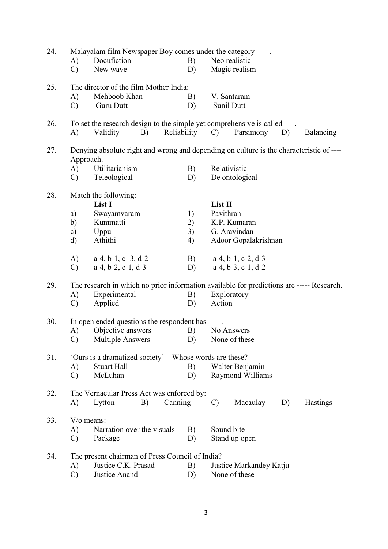| 24. | Malayalam film Newspaper Boy comes under the category -----.                                         |                                                                                          |         |                     |                         |                      |    |                 |  |  |  |  |  |
|-----|------------------------------------------------------------------------------------------------------|------------------------------------------------------------------------------------------|---------|---------------------|-------------------------|----------------------|----|-----------------|--|--|--|--|--|
|     | A)                                                                                                   | Docufiction                                                                              |         | B)<br>Neo realistic |                         |                      |    |                 |  |  |  |  |  |
|     | $\mathcal{C}$                                                                                        | New wave                                                                                 |         | D)                  |                         | Magic realism        |    |                 |  |  |  |  |  |
| 25. |                                                                                                      | The director of the film Mother India:                                                   |         |                     |                         |                      |    |                 |  |  |  |  |  |
|     | A)                                                                                                   | Mehboob Khan                                                                             |         | B)                  |                         | V. Santaram          |    |                 |  |  |  |  |  |
|     | $\mathbf{C}$                                                                                         | Guru Dutt                                                                                |         | D)                  | Sunil Dutt              |                      |    |                 |  |  |  |  |  |
| 26. |                                                                                                      | To set the research design to the simple yet comprehensive is called ----.               |         |                     |                         |                      |    |                 |  |  |  |  |  |
|     | A)                                                                                                   | Validity<br>B)                                                                           |         | Reliability         | $\mathbf{C}$            | Parsimony            | D) | Balancing       |  |  |  |  |  |
| 27. | Denying absolute right and wrong and depending on culture is the characteristic of ----<br>Approach. |                                                                                          |         |                     |                         |                      |    |                 |  |  |  |  |  |
|     | A)                                                                                                   | Utilitarianism                                                                           |         | B)                  |                         | Relativistic         |    |                 |  |  |  |  |  |
|     | $\mathbf{C}$                                                                                         | Teleological                                                                             |         | D)                  |                         | De ontological       |    |                 |  |  |  |  |  |
| 28. | Match the following:                                                                                 |                                                                                          |         |                     |                         |                      |    |                 |  |  |  |  |  |
|     |                                                                                                      | List I                                                                                   |         |                     | List II                 |                      |    |                 |  |  |  |  |  |
|     | a)                                                                                                   | Swayamvaram                                                                              |         | 1)                  | Pavithran               |                      |    |                 |  |  |  |  |  |
|     | b)                                                                                                   | Kummatti                                                                                 |         | 2)                  |                         | K.P. Kumaran         |    |                 |  |  |  |  |  |
|     | $\mathbf{c})$                                                                                        | Uppu                                                                                     |         | 3)                  | G. Aravindan            |                      |    |                 |  |  |  |  |  |
|     | $\rm d)$                                                                                             | Athithi                                                                                  |         | 4)                  |                         | Adoor Gopalakrishnan |    |                 |  |  |  |  |  |
|     | A)                                                                                                   | $a-4$ , $b-1$ , $c-3$ , $d-2$                                                            |         | B)                  |                         | a-4, b-1, c-2, d-3   |    |                 |  |  |  |  |  |
|     | $\mathcal{C}$                                                                                        | $a-4, b-2, c-1, d-3$                                                                     |         | D)                  |                         | $a-4, b-3, c-1, d-2$ |    |                 |  |  |  |  |  |
| 29. |                                                                                                      | The research in which no prior information available for predictions are ----- Research. |         |                     |                         |                      |    |                 |  |  |  |  |  |
|     | A)                                                                                                   | Experimental                                                                             |         | B)                  |                         | Exploratory          |    |                 |  |  |  |  |  |
|     | $\mathcal{C}$                                                                                        | Applied                                                                                  |         | D)                  | Action                  |                      |    |                 |  |  |  |  |  |
| 30. | In open ended questions the respondent has -----.                                                    |                                                                                          |         |                     |                         |                      |    |                 |  |  |  |  |  |
|     | A)                                                                                                   | Objective answers                                                                        |         | B)                  |                         | No Answers           |    |                 |  |  |  |  |  |
|     |                                                                                                      | C) Multiple Answers                                                                      |         |                     |                         | D) None of these     |    |                 |  |  |  |  |  |
| 31. |                                                                                                      | 'Ours is a dramatized society' – Whose words are these?                                  |         |                     |                         |                      |    |                 |  |  |  |  |  |
|     | A)                                                                                                   | <b>Stuart Hall</b>                                                                       |         | B)                  |                         | Walter Benjamin      |    |                 |  |  |  |  |  |
|     | $\mathcal{C}$                                                                                        | McLuhan                                                                                  |         | D)                  |                         | Raymond Williams     |    |                 |  |  |  |  |  |
| 32. |                                                                                                      | The Vernacular Press Act was enforced by:                                                |         |                     |                         |                      |    |                 |  |  |  |  |  |
|     | A)                                                                                                   | B)<br>Lytton                                                                             | Canning |                     | $\mathcal{C}$           | Macaulay             | D) | <b>Hastings</b> |  |  |  |  |  |
| 33. | V/o means:                                                                                           |                                                                                          |         |                     |                         |                      |    |                 |  |  |  |  |  |
|     | A)                                                                                                   | Narration over the visuals                                                               |         | B)                  |                         | Sound bite           |    |                 |  |  |  |  |  |
|     | $\mathcal{C}$                                                                                        | Package                                                                                  |         | D)                  |                         | Stand up open        |    |                 |  |  |  |  |  |
| 34. |                                                                                                      | The present chairman of Press Council of India?                                          |         |                     |                         |                      |    |                 |  |  |  |  |  |
|     | A)                                                                                                   | Justice C.K. Prasad                                                                      |         | B)                  | Justice Markandey Katju |                      |    |                 |  |  |  |  |  |
|     | $\mathcal{C}$                                                                                        | Justice Anand                                                                            |         | D)                  |                         | None of these        |    |                 |  |  |  |  |  |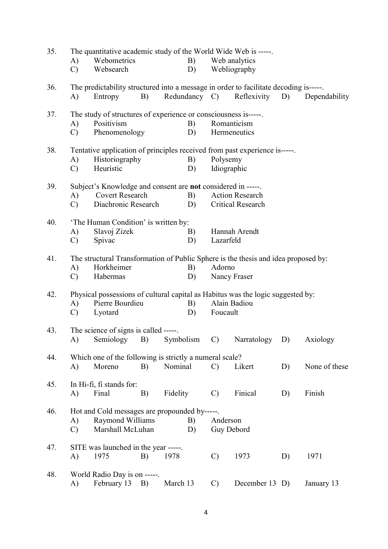| 35.<br>The quantitative academic study of the World Wide Web is -----. |                                                                            |                                                                   |    |          |    |               |                                                                                       |    |               |  |  |
|------------------------------------------------------------------------|----------------------------------------------------------------------------|-------------------------------------------------------------------|----|----------|----|---------------|---------------------------------------------------------------------------------------|----|---------------|--|--|
|                                                                        | A)                                                                         | Webometrics                                                       |    |          | B) |               | Web analytics                                                                         |    |               |  |  |
|                                                                        | $\mathcal{C}$                                                              | Websearch                                                         |    |          | D) |               | Webliography                                                                          |    |               |  |  |
|                                                                        |                                                                            |                                                                   |    |          |    |               |                                                                                       |    |               |  |  |
| 36.                                                                    |                                                                            |                                                                   |    |          |    |               | The predictability structured into a message in order to facilitate decoding is-----. |    |               |  |  |
|                                                                        | A)                                                                         | Entropy                                                           | B) |          |    | Redundancy C) | Reflexivity                                                                           | D) | Dependability |  |  |
|                                                                        |                                                                            |                                                                   |    |          |    |               |                                                                                       |    |               |  |  |
| 37.                                                                    |                                                                            | The study of structures of experience or consciousness is-----.   |    |          |    |               |                                                                                       |    |               |  |  |
|                                                                        | A)                                                                         | Positivism                                                        |    |          | B) |               | Romanticism                                                                           |    |               |  |  |
|                                                                        | $\mathcal{C}$                                                              | Phenomenology                                                     |    |          | D) |               | Hermeneutics                                                                          |    |               |  |  |
| 38.                                                                    | Tentative application of principles received from past experience is-----. |                                                                   |    |          |    |               |                                                                                       |    |               |  |  |
|                                                                        | A)                                                                         | Historiography                                                    |    |          | B) | Polysemy      |                                                                                       |    |               |  |  |
|                                                                        | $\mathcal{C}$                                                              | Heuristic                                                         |    |          | D) | Idiographic   |                                                                                       |    |               |  |  |
|                                                                        |                                                                            |                                                                   |    |          |    |               |                                                                                       |    |               |  |  |
| 39.                                                                    | Subject's Knowledge and consent are not considered in -----.               |                                                                   |    |          |    |               |                                                                                       |    |               |  |  |
|                                                                        | A)                                                                         | <b>Covert Research</b>                                            |    |          | B) |               | <b>Action Research</b>                                                                |    |               |  |  |
|                                                                        | $\mathcal{C}$                                                              | Diachronic Research                                               |    |          | D) |               | <b>Critical Research</b>                                                              |    |               |  |  |
|                                                                        |                                                                            |                                                                   |    |          |    |               |                                                                                       |    |               |  |  |
| 40.                                                                    | 'The Human Condition' is written by:                                       |                                                                   |    |          |    |               |                                                                                       |    |               |  |  |
|                                                                        | A)                                                                         | Slavoj Zizek                                                      |    |          | B) | Hannah Arendt |                                                                                       |    |               |  |  |
|                                                                        | $\mathcal{C}$                                                              | Spivac                                                            |    |          | D) | Lazarfeld     |                                                                                       |    |               |  |  |
|                                                                        |                                                                            |                                                                   |    |          |    |               |                                                                                       |    |               |  |  |
| 41.                                                                    |                                                                            | Horkheimer                                                        |    |          | B) | Adorno        | The structural Transformation of Public Sphere is the thesis and idea proposed by:    |    |               |  |  |
|                                                                        | A)<br>$\mathcal{C}$                                                        | Habermas                                                          |    |          | D) |               | Nancy Fraser                                                                          |    |               |  |  |
|                                                                        |                                                                            |                                                                   |    |          |    |               |                                                                                       |    |               |  |  |
| 42.                                                                    |                                                                            |                                                                   |    |          |    |               | Physical possessions of cultural capital as Habitus was the logic suggested by:       |    |               |  |  |
|                                                                        | A)                                                                         | Pierre Bourdieu                                                   |    |          | B) |               | Alain Badiou                                                                          |    |               |  |  |
|                                                                        | $\mathcal{C}$                                                              | Lyotard                                                           |    |          | D) | Foucault      |                                                                                       |    |               |  |  |
|                                                                        |                                                                            |                                                                   |    |          |    |               |                                                                                       |    |               |  |  |
| 43.                                                                    |                                                                            | The science of signs is called -----.                             |    |          |    |               |                                                                                       |    |               |  |  |
|                                                                        | A)                                                                         | Semiology B) Symbolism                                            |    |          |    |               | C) Narratology D)                                                                     |    | Axiology      |  |  |
|                                                                        |                                                                            |                                                                   |    |          |    |               |                                                                                       |    |               |  |  |
| 44.                                                                    | A)                                                                         | Which one of the following is strictly a numeral scale?<br>Moreno | B) | Nominal  |    | $\mathcal{C}$ | Likert                                                                                | D) | None of these |  |  |
|                                                                        |                                                                            |                                                                   |    |          |    |               |                                                                                       |    |               |  |  |
| 45.                                                                    |                                                                            | In Hi-fi, fi stands for:                                          |    |          |    |               |                                                                                       |    |               |  |  |
|                                                                        | A)                                                                         | Final                                                             | B) | Fidelity |    | $\mathcal{C}$ | Finical                                                                               | D) | Finish        |  |  |
|                                                                        |                                                                            |                                                                   |    |          |    |               |                                                                                       |    |               |  |  |
| 46.                                                                    |                                                                            | Hot and Cold messages are propounded by-----.                     |    |          |    |               |                                                                                       |    |               |  |  |
|                                                                        | A)                                                                         | Raymond Williams                                                  |    |          | B) | Anderson      |                                                                                       |    |               |  |  |
|                                                                        | $\mathcal{C}$                                                              | Marshall McLuhan                                                  |    |          | D) | Guy Debord    |                                                                                       |    |               |  |  |
|                                                                        |                                                                            |                                                                   |    |          |    |               |                                                                                       |    |               |  |  |
| 47.                                                                    |                                                                            | SITE was launched in the year -----.                              |    |          |    |               |                                                                                       |    |               |  |  |
|                                                                        | A)                                                                         | 1975                                                              | B) | 1978     |    | $\mathbf{C}$  | 1973                                                                                  | D) | 1971          |  |  |
| 48.                                                                    |                                                                            | World Radio Day is on -----.                                      |    |          |    |               |                                                                                       |    |               |  |  |
|                                                                        | A)                                                                         | February 13                                                       | B) | March 13 |    | $\mathcal{C}$ | December 13 D)                                                                        |    | January 13    |  |  |
|                                                                        |                                                                            |                                                                   |    |          |    |               |                                                                                       |    |               |  |  |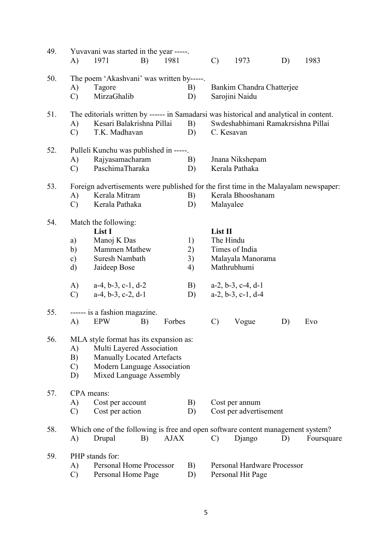| 49. | A)                                                     | Yuvavani was started in the year -----.<br>1971                                                                                                                    | B) | 1981        |                                                  | $\mathcal{C}$                                                                                                                       | 1973                                     | D) | 1983       |  |  |
|-----|--------------------------------------------------------|--------------------------------------------------------------------------------------------------------------------------------------------------------------------|----|-------------|--------------------------------------------------|-------------------------------------------------------------------------------------------------------------------------------------|------------------------------------------|----|------------|--|--|
| 50. | A)<br>$\mathcal{C}$                                    | The poem 'Akashvani' was written by-----.<br>Tagore<br>MirzaGhalib                                                                                                 |    |             | B)<br>D)                                         | Bankim Chandra Chatterjee<br>Sarojini Naidu                                                                                         |                                          |    |            |  |  |
| 51. | A)<br>$\mathcal{C}$                                    | The editorials written by ------ in Samadarsi was historical and analytical in content.<br>Kesari Balakrishna Pillai<br>T.K. Madhavan                              |    |             | B)<br>D)                                         | C. Kesavan                                                                                                                          | Swdeshabhimani Ramakrsishna Pillai       |    |            |  |  |
| 52. | A)<br>$\mathbf{C}$                                     | Pulleli Kunchu was published in -----.<br>Rajyasamacharam<br>PaschimaTharaka                                                                                       |    |             | B)<br>D)                                         |                                                                                                                                     | Jnana Nikshepam<br>Kerala Pathaka        |    |            |  |  |
| 53. | A)<br>$\mathcal{C}$                                    | Kerala Mitram<br>Kerala Pathaka                                                                                                                                    |    |             | B)<br>D)                                         | Foreign advertisements were published for the first time in the Malayalam newspaper:<br>Kerala Bhooshanam<br>Malayalee              |                                          |    |            |  |  |
| 54. | a)<br>b)<br>$\mathbf{c})$<br>d)<br>A)<br>$\mathcal{C}$ | Match the following:<br>List I<br>Manoj K Das<br>Mammen Mathew<br>Suresh Nambath<br>Jaideep Bose<br>$a-4, b-3, c-1, d-2$<br>$a-4, b-3, c-2, d-1$                   |    |             |                                                  | List II<br>The Hindu<br>Times of India<br>Malayala Manorama<br>Mathrubhumi<br>$a-2$ , $b-3$ , $c-4$ , $d-1$<br>$a-2, b-3, c-1, d-4$ |                                          |    |            |  |  |
| 55. | $\mathbf{A}$                                           | ------ is a fashion magazine.<br><b>EPW</b>                                                                                                                        | B) | Forbes      |                                                  | $\mathcal{C}$                                                                                                                       | Vogue                                    | D) | Evo        |  |  |
| 56. | A)<br>B)<br>$\mathcal{C}$<br>D)                        | MLA style format has its expansion as:<br>Multi Layered Association<br><b>Manually Located Artefacts</b><br>Modern Language Association<br>Mixed Language Assembly |    |             |                                                  |                                                                                                                                     |                                          |    |            |  |  |
| 57. | CPA means:<br>A)<br>$\mathcal{C}$                      | Cost per account<br>Cost per action                                                                                                                                |    |             | B)<br>D)                                         |                                                                                                                                     | Cost per annum<br>Cost per advertisement |    |            |  |  |
| 58. | A)                                                     | Which one of the following is free and open software content management system?<br>Drupal                                                                          | B) | <b>AJAX</b> |                                                  | $\mathcal{C}$                                                                                                                       | Django                                   | D) | Foursquare |  |  |
| 59. | A)<br>$\mathcal{C}$                                    | PHP stands for:<br><b>Personal Home Processor</b><br>Personal Home Page                                                                                            |    | B)<br>D)    | Personal Hardware Processor<br>Personal Hit Page |                                                                                                                                     |                                          |    |            |  |  |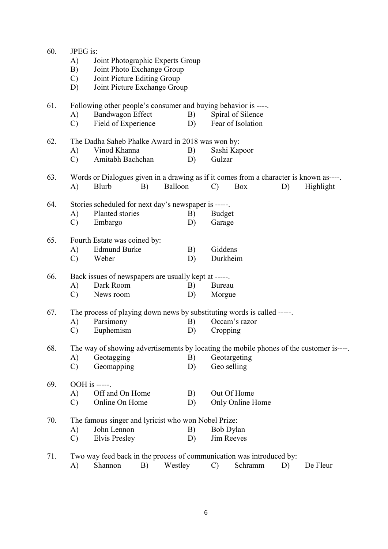| 60. | JPEG is:      |                                                                                         |    |         |    |               |                   |  |    |           |  |  |  |
|-----|---------------|-----------------------------------------------------------------------------------------|----|---------|----|---------------|-------------------|--|----|-----------|--|--|--|
|     | A)            | Joint Photographic Experts Group                                                        |    |         |    |               |                   |  |    |           |  |  |  |
|     | B)            | Joint Photo Exchange Group                                                              |    |         |    |               |                   |  |    |           |  |  |  |
|     | $\mathcal{C}$ |                                                                                         |    |         |    |               |                   |  |    |           |  |  |  |
|     | D)            | Joint Picture Editing Group<br>Joint Picture Exchange Group                             |    |         |    |               |                   |  |    |           |  |  |  |
|     |               |                                                                                         |    |         |    |               |                   |  |    |           |  |  |  |
| 61. |               | Following other people's consumer and buying behavior is ----.                          |    |         |    |               |                   |  |    |           |  |  |  |
|     | A)            | Bandwagon Effect                                                                        |    |         | B) |               | Spiral of Silence |  |    |           |  |  |  |
|     | $\mathcal{C}$ | Field of Experience                                                                     |    |         | D) |               | Fear of Isolation |  |    |           |  |  |  |
| 62. |               | The Dadha Saheb Phalke Award in 2018 was won by:                                        |    |         |    |               |                   |  |    |           |  |  |  |
|     | A)            | Vinod Khanna                                                                            |    |         | B) |               | Sashi Kapoor      |  |    |           |  |  |  |
|     | $\mathcal{C}$ | Amitabh Bachchan                                                                        | D) | Gulzar  |    |               |                   |  |    |           |  |  |  |
| 63. |               | Words or Dialogues given in a drawing as if it comes from a character is known as----.  |    |         |    |               |                   |  |    |           |  |  |  |
|     | A)            | Blurb                                                                                   | B) | Balloon |    | $\mathcal{C}$ | Box               |  | D) | Highlight |  |  |  |
| 64. |               | Stories scheduled for next day's newspaper is -----.                                    |    |         |    |               |                   |  |    |           |  |  |  |
|     | A)            | Planted stories                                                                         |    |         | B) | <b>Budget</b> |                   |  |    |           |  |  |  |
|     | $\mathcal{C}$ | Embargo                                                                                 |    |         | D) | Garage        |                   |  |    |           |  |  |  |
| 65. |               | Fourth Estate was coined by:                                                            |    |         |    |               |                   |  |    |           |  |  |  |
|     | A)            | <b>Edmund Burke</b>                                                                     |    |         | B) | Giddens       |                   |  |    |           |  |  |  |
|     | $\mathcal{C}$ | Weber                                                                                   |    |         | D) | Durkheim      |                   |  |    |           |  |  |  |
| 66. |               | Back issues of newspapers are usually kept at -----.                                    |    |         |    |               |                   |  |    |           |  |  |  |
|     | A)            | Dark Room                                                                               |    |         | B) | Bureau        |                   |  |    |           |  |  |  |
|     | $\mathcal{C}$ | News room                                                                               |    |         | D) | Morgue        |                   |  |    |           |  |  |  |
|     |               |                                                                                         |    |         |    |               |                   |  |    |           |  |  |  |
| 67. |               | The process of playing down news by substituting words is called -----.                 |    |         |    |               |                   |  |    |           |  |  |  |
|     | A)            | Parsimony                                                                               |    |         | B) |               | Occam's razor     |  |    |           |  |  |  |
|     | $\mathcal{C}$ | Euphemism                                                                               |    |         | D) | Cropping      |                   |  |    |           |  |  |  |
| 68. |               | The way of showing advertisements by locating the mobile phones of the customer is----. |    |         |    |               |                   |  |    |           |  |  |  |
|     | A)            | Geotagging                                                                              |    |         | B) |               | Geotargeting      |  |    |           |  |  |  |
|     | $\mathcal{C}$ | Geomapping                                                                              |    |         | D) |               | Geo selling       |  |    |           |  |  |  |
| 69. |               | OOH is -----.                                                                           |    |         |    |               |                   |  |    |           |  |  |  |
|     | A)            | Off and On Home                                                                         |    |         | B) |               | Out Of Home       |  |    |           |  |  |  |
|     | $\mathcal{C}$ | Online On Home                                                                          |    |         | D) |               | Only Online Home  |  |    |           |  |  |  |
| 70. |               | The famous singer and lyricist who won Nobel Prize:                                     |    |         |    |               |                   |  |    |           |  |  |  |
|     | A)            | John Lennon                                                                             |    |         | B) |               | Bob Dylan         |  |    |           |  |  |  |
|     | $\mathcal{C}$ | <b>Elvis Presley</b>                                                                    |    |         | D) |               | Jim Reeves        |  |    |           |  |  |  |
| 71. |               | Two way feed back in the process of communication was introduced by:                    |    |         |    |               |                   |  |    |           |  |  |  |
|     | A)            | Shannon                                                                                 | B) | Westley |    | $\mathcal{C}$ | Schramm           |  | D) | De Fleur  |  |  |  |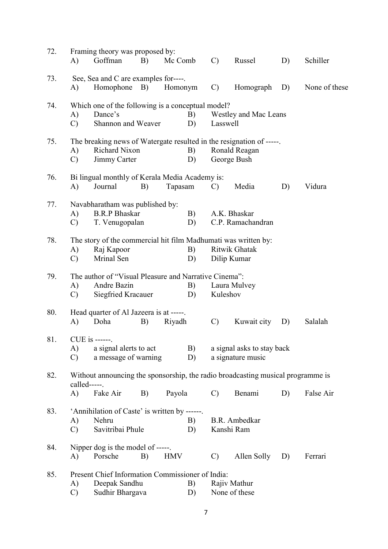| 72. | A)                                               | Framing theory was proposed by:<br>Goffman                                      | B) | Mc Comb    |    | $\mathcal{C}$                                   | Russel                | D) | Schiller      |  |  |  |
|-----|--------------------------------------------------|---------------------------------------------------------------------------------|----|------------|----|-------------------------------------------------|-----------------------|----|---------------|--|--|--|
| 73. | A)                                               | See, Sea and C are examples for----.<br>Homophone B)                            |    | Homonym    |    | $\mathcal{C}$                                   | Homograph             | D) | None of these |  |  |  |
|     |                                                  |                                                                                 |    |            |    |                                                 |                       |    |               |  |  |  |
| 74. |                                                  | Which one of the following is a conceptual model?                               |    |            |    |                                                 |                       |    |               |  |  |  |
|     | A)                                               | Dance's                                                                         |    |            | B) |                                                 | Westley and Mac Leans |    |               |  |  |  |
|     | $\mathcal{C}$                                    | Shannon and Weaver                                                              |    |            | D) | Lasswell                                        |                       |    |               |  |  |  |
| 75. |                                                  | The breaking news of Watergate resulted in the resignation of -----.            |    |            |    |                                                 |                       |    |               |  |  |  |
|     | A)                                               | Richard Nixon                                                                   |    |            | B) |                                                 | Ronald Reagan         |    |               |  |  |  |
|     | $\mathcal{C}$                                    | Jimmy Carter                                                                    |    |            | D) |                                                 | George Bush           |    |               |  |  |  |
| 76. |                                                  | Bi lingual monthly of Kerala Media Academy is:                                  |    |            |    |                                                 |                       |    |               |  |  |  |
|     | A)                                               | Journal                                                                         | B) | Tapasam    |    | $\mathcal{C}$                                   | Media                 | D) | Vidura        |  |  |  |
|     |                                                  |                                                                                 |    |            |    |                                                 |                       |    |               |  |  |  |
| 77. |                                                  | Navabharatham was published by:<br><b>B.R.P Bhaskar</b>                         |    |            | B) |                                                 | A.K. Bhaskar          |    |               |  |  |  |
|     | A)<br>C)                                         | T. Venugopalan                                                                  |    |            | D) |                                                 | C.P. Ramachandran     |    |               |  |  |  |
|     |                                                  |                                                                                 |    |            |    |                                                 |                       |    |               |  |  |  |
| 78. |                                                  | The story of the commercial hit film Madhumati was written by:                  |    |            |    |                                                 |                       |    |               |  |  |  |
|     | A)                                               | Raj Kapoor                                                                      |    |            | B) |                                                 | <b>Ritwik Ghatak</b>  |    |               |  |  |  |
|     | $\mathcal{C}$                                    | Mrinal Sen                                                                      |    |            | D) |                                                 | Dilip Kumar           |    |               |  |  |  |
| 79. |                                                  | The author of "Visual Pleasure and Narrative Cinema":                           |    |            |    |                                                 |                       |    |               |  |  |  |
|     | A)                                               | Andre Bazin                                                                     |    |            | B) |                                                 | Laura Mulvey          |    |               |  |  |  |
|     | $\mathcal{C}$                                    | Siegfried Kracauer                                                              |    |            | D) | Kuleshov                                        |                       |    |               |  |  |  |
| 80. |                                                  |                                                                                 |    |            |    |                                                 |                       |    |               |  |  |  |
|     | A)                                               | Head quarter of Al Jazeera is at -----.<br>Doha                                 | B) | Riyadh     |    | $\mathcal{C}$                                   | Kuwait city           | D) | Salalah       |  |  |  |
|     |                                                  |                                                                                 |    |            |    |                                                 |                       |    |               |  |  |  |
| 81. |                                                  | CUE is ------.                                                                  |    |            |    |                                                 |                       |    |               |  |  |  |
|     | A)                                               | a signal alerts to act                                                          |    |            | B) | a signal asks to stay back<br>a signature music |                       |    |               |  |  |  |
|     | $\mathcal{C}$                                    | a message of warning                                                            |    |            | D) |                                                 |                       |    |               |  |  |  |
| 82. | called-----.                                     | Without announcing the sponsorship, the radio broadcasting musical programme is |    |            |    |                                                 |                       |    |               |  |  |  |
|     | A)                                               | Fake Air                                                                        | B) | Payola     |    | $\mathcal{C}$                                   | Benami                | D) | False Air     |  |  |  |
| 83. |                                                  | 'Annihilation of Caste' is written by ------.                                   |    |            |    |                                                 |                       |    |               |  |  |  |
|     | A)                                               | Nehru                                                                           |    |            | B) |                                                 | B.R. Ambedkar         |    |               |  |  |  |
|     | $\mathcal{C}$                                    | Savitribai Phule                                                                |    |            | D) |                                                 | Kanshi Ram            |    |               |  |  |  |
|     |                                                  |                                                                                 |    |            |    |                                                 |                       |    |               |  |  |  |
| 84. |                                                  | Nipper dog is the model of -----.                                               |    |            |    |                                                 |                       |    |               |  |  |  |
|     | A)                                               | Porsche                                                                         | B) | <b>HMV</b> |    | $\mathcal{C}$                                   | Allen Solly           | D) | Ferrari       |  |  |  |
| 85. | Present Chief Information Commissioner of India: |                                                                                 |    |            |    |                                                 |                       |    |               |  |  |  |
|     | A)                                               | Deepak Sandhu<br>B)                                                             |    |            |    |                                                 | Rajiv Mathur          |    |               |  |  |  |
|     | $\mathcal{C}$                                    | Sudhir Bhargava                                                                 |    |            | D) | None of these                                   |                       |    |               |  |  |  |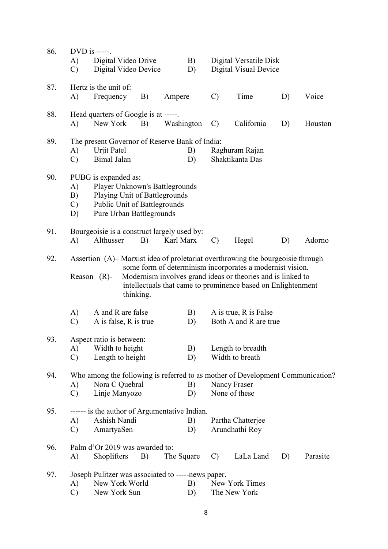| 86. |                                                    | DVD is $---$ .                                                                                   |           |            |                   |                                                              |    |          |  |  |  |
|-----|----------------------------------------------------|--------------------------------------------------------------------------------------------------|-----------|------------|-------------------|--------------------------------------------------------------|----|----------|--|--|--|
|     | A)                                                 | Digital Video Drive                                                                              |           | B)         |                   | Digital Versatile Disk                                       |    |          |  |  |  |
|     | $\mathcal{C}$                                      | Digital Video Device                                                                             |           | D)         |                   | Digital Visual Device                                        |    |          |  |  |  |
| 87. |                                                    | Hertz is the unit of:                                                                            |           |            |                   |                                                              |    |          |  |  |  |
|     | A)                                                 | Frequency                                                                                        | B)        | Ampere     | $\mathcal{C}$     | Time                                                         | D) | Voice    |  |  |  |
|     |                                                    |                                                                                                  |           |            |                   |                                                              |    |          |  |  |  |
| 88. |                                                    | Head quarters of Google is at -----.                                                             |           |            |                   |                                                              |    | Houston  |  |  |  |
|     | A)                                                 | New York                                                                                         | B)        | Washington |                   | California<br>$\mathcal{C}$<br>D)                            |    |          |  |  |  |
| 89. |                                                    | The present Governor of Reserve Bank of India:                                                   |           |            |                   |                                                              |    |          |  |  |  |
|     | A)                                                 | Urjit Patel                                                                                      |           | B)         |                   | Raghuram Rajan                                               |    |          |  |  |  |
|     | $\mathcal{C}$                                      | Bimal Jalan                                                                                      |           | D)         |                   | Shaktikanta Das                                              |    |          |  |  |  |
| 90. |                                                    | PUBG is expanded as:                                                                             |           |            |                   |                                                              |    |          |  |  |  |
|     | A)                                                 | Player Unknown's Battlegrounds                                                                   |           |            |                   |                                                              |    |          |  |  |  |
|     | B)                                                 | Playing Unit of Battlegrounds                                                                    |           |            |                   |                                                              |    |          |  |  |  |
|     | $\mathcal{C}$                                      | <b>Public Unit of Battlegrounds</b>                                                              |           |            |                   |                                                              |    |          |  |  |  |
|     | D)                                                 | Pure Urban Battlegrounds                                                                         |           |            |                   |                                                              |    |          |  |  |  |
| 91. |                                                    | Bourgeoisie is a construct largely used by:                                                      |           |            |                   |                                                              |    |          |  |  |  |
|     | A)                                                 | Althusser                                                                                        | B)        | Karl Marx  | $\mathcal{C}$     | Hegel                                                        | D) | Adorno   |  |  |  |
| 92. |                                                    | Assertion (A)– Marxist idea of proletariat overthrowing the bourgeoisie through                  |           |            |                   |                                                              |    |          |  |  |  |
|     |                                                    |                                                                                                  |           |            |                   | some form of determinism incorporates a modernist vision.    |    |          |  |  |  |
|     |                                                    | Reason $(R)$ -                                                                                   |           |            |                   | Modernism involves grand ideas or theories and is linked to  |    |          |  |  |  |
|     |                                                    |                                                                                                  |           |            |                   | intellectuals that came to prominence based on Enlightenment |    |          |  |  |  |
|     |                                                    |                                                                                                  | thinking. |            |                   |                                                              |    |          |  |  |  |
|     | A)                                                 | A and R are false                                                                                |           | B)         |                   | A is true, R is False                                        |    |          |  |  |  |
|     | C)                                                 | A is false, R is true                                                                            |           | D)         |                   | Both A and R are true                                        |    |          |  |  |  |
| 93. |                                                    | Aspect ratio is between:                                                                         |           |            |                   |                                                              |    |          |  |  |  |
|     | A)                                                 | Width to height                                                                                  |           | B)         | Length to breadth |                                                              |    |          |  |  |  |
|     | $\mathbf{C}$                                       | Length to height                                                                                 |           | D)         | Width to breath   |                                                              |    |          |  |  |  |
|     |                                                    |                                                                                                  |           |            |                   |                                                              |    |          |  |  |  |
| 94. | A)                                                 | Who among the following is referred to as mother of Development Communication?<br>Nora C Quebral |           | B)         |                   | Nancy Fraser                                                 |    |          |  |  |  |
|     | $\mathbf{C}$                                       | Linje Manyozo                                                                                    |           | D)         |                   | None of these                                                |    |          |  |  |  |
|     |                                                    |                                                                                                  |           |            |                   |                                                              |    |          |  |  |  |
| 95. |                                                    | ------ is the author of Argumentative Indian.                                                    |           |            |                   |                                                              |    |          |  |  |  |
|     | A)                                                 | Ashish Nandi                                                                                     |           | B)         |                   | Partha Chatterjee                                            |    |          |  |  |  |
|     | $\mathcal{C}$                                      | AmartyaSen                                                                                       |           | D)         |                   | Arundhathi Roy                                               |    |          |  |  |  |
| 96. |                                                    | Palm d'Or 2019 was awarded to:                                                                   |           |            |                   |                                                              |    |          |  |  |  |
|     | A)                                                 | Shoplifters B)                                                                                   |           | The Square | C)                | LaLa Land                                                    | D) | Parasite |  |  |  |
| 97. | Joseph Pulitzer was associated to -----news paper. |                                                                                                  |           |            |                   |                                                              |    |          |  |  |  |
|     | A)                                                 | New York World                                                                                   |           | B)         |                   | New York Times                                               |    |          |  |  |  |
|     | $\mathcal{C}$                                      | New York Sun                                                                                     |           | D)         |                   | The New York                                                 |    |          |  |  |  |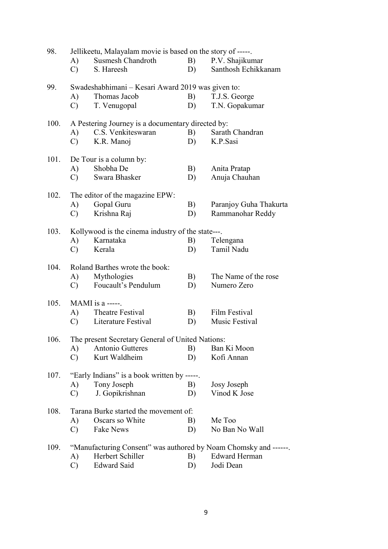| 98.  |                 | Jellikeetu, Malayalam movie is based on the story of -----. |    |                                                                  |
|------|-----------------|-------------------------------------------------------------|----|------------------------------------------------------------------|
|      | A)              | Susmesh Chandroth                                           | B) | P.V. Shajikumar                                                  |
|      | $\mathcal{C}$   | S. Hareesh                                                  | D) | Santhosh Echikkanam                                              |
| 99.  |                 | Swadeshabhimani - Kesari Award 2019 was given to:           |    |                                                                  |
|      | A)              | Thomas Jacob                                                | B) | T.J.S. George                                                    |
|      | C)              | T. Venugopal                                                | D) | T.N. Gopakumar                                                   |
| 100. |                 | A Pestering Journey is a documentary directed by:           |    |                                                                  |
|      | A)              | C.S. Venkiteswaran                                          | B) | Sarath Chandran                                                  |
|      | $\mathcal{C}$ ) | K.R. Manoj                                                  | D) | K.P.Sasi                                                         |
| 101. |                 | De Tour is a column by:                                     |    |                                                                  |
|      | A)              | Shobha De                                                   | B) | Anita Pratap                                                     |
|      |                 | C) Swara Bhasker                                            | D) | Anuja Chauhan                                                    |
| 102. |                 | The editor of the magazine EPW:                             |    |                                                                  |
|      | A)              | Gopal Guru                                                  | B) | Paranjoy Guha Thakurta                                           |
|      | $\mathcal{C}$   | Krishna Raj                                                 | D) | Rammanohar Reddy                                                 |
| 103. |                 | Kollywood is the cinema industry of the state---.           |    |                                                                  |
|      | A)              | Karnataka                                                   | B) | Telengana                                                        |
|      | $\mathbf{C}$    | Kerala                                                      | D) | Tamil Nadu                                                       |
| 104. |                 | Roland Barthes wrote the book:                              |    |                                                                  |
|      | A)              | Mythologies                                                 | B) | The Name of the rose                                             |
|      | C)              | Foucault's Pendulum                                         | D) | Numero Zero                                                      |
| 105. |                 | MAMI is a -----.                                            |    |                                                                  |
|      |                 | A) Theatre Festival                                         | B) | Film Festival                                                    |
|      | $\mathbf{C}$    | Literature Festival                                         | D) | Music Festival                                                   |
| 106. |                 | The present Secretary General of United Nations:            |    |                                                                  |
|      | A)              | Antonio Gutteres                                            | B) | Ban Ki Moon                                                      |
|      | $\mathbf{C}$    | Kurt Waldheim                                               | D) | Kofi Annan                                                       |
| 107. |                 | "Early Indians" is a book written by -----.                 |    |                                                                  |
|      | A)              | Tony Joseph                                                 | B) | Josy Joseph                                                      |
|      | $\mathbf{C}$ )  | J. Gopikrishnan                                             | D) | Vinod K Jose                                                     |
| 108. |                 | Tarana Burke started the movement of:                       |    |                                                                  |
|      | A)              | Oscars so White                                             | B) | Me Too                                                           |
|      | C)              | Fake News                                                   | D) | No Ban No Wall                                                   |
| 109. |                 |                                                             |    | "Manufacturing Consent" was authored by Noam Chomsky and ------. |
|      | A)              | Herbert Schiller                                            | B) | <b>Edward Herman</b>                                             |
|      | $\mathcal{C}$   | <b>Edward Said</b>                                          | D) | Jodi Dean                                                        |

9